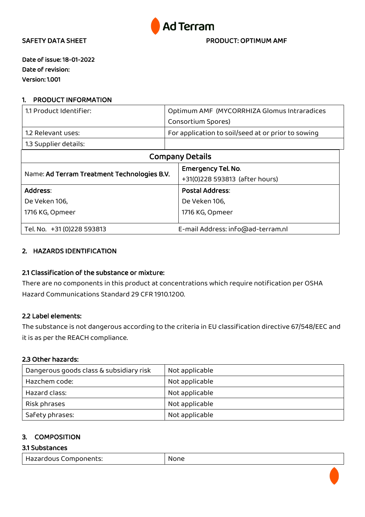

SAFETY DATA SHEET **EXECUTE A SHEET PRODUCT: OPTIMUM AMF** 

Date of issue: 18-01-2022 Date of revision: Version: 1.001

### 1. PRODUCT INFORMATION

| 1.1 Product Identifier:                     | Optimum AMF (MYCORRHIZA Glomus Intraradices        |  |
|---------------------------------------------|----------------------------------------------------|--|
|                                             | Consortium Spores)                                 |  |
| 1.2 Relevant uses:                          | For application to soil/seed at or prior to sowing |  |
| 1.3 Supplier details:                       |                                                    |  |
| <b>Company Details</b>                      |                                                    |  |
|                                             | <b>Emergency Tel. No.</b>                          |  |
| Name: Ad Terram Treatment Technologies B.V. | +31(0)228 593813 (after hours)                     |  |
| Address:                                    | <b>Postal Address:</b>                             |  |
| De Veken 106,                               | De Veken 106,                                      |  |
| 1716 KG, Opmeer                             | 1716 KG, Opmeer                                    |  |
|                                             |                                                    |  |
| Tel. No. +31 (0) 228 593813                 | E-mail Address: info@ad-terram.nl                  |  |

### 2. HAZARDS IDENTIFICATION

### 2.1 Classification of the substance or mixture:

There are no components in this product at concentrations which require notification per OSHA Hazard Communications Standard 29 CFR 1910.1200.

### 2.2 Label elements:

The substance is not dangerous according to the criteria in EU classification directive 67/548/EEC and it is as per the REACH compliance.

### 2.3 Other hazards:

| Dangerous goods class & subsidiary risk | Not applicable |
|-----------------------------------------|----------------|
| Hazchem code:                           | Not applicable |
| Hazard class:                           | Not applicable |
| Risk phrases                            | Not applicable |
| Safety phrases:                         | Not applicable |

### 3. COMPOSITION

## 3.1 Substances

| Hazardous Components: | None |
|-----------------------|------|
|-----------------------|------|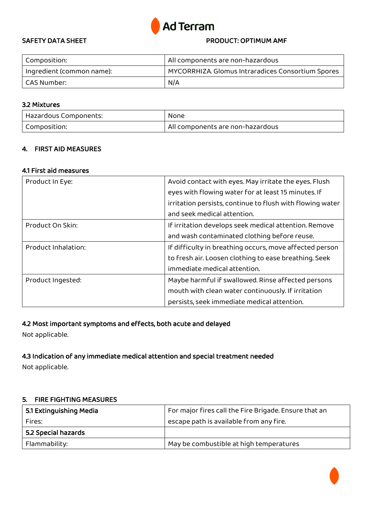

### SAFETY DATA SHEET **EXECUTE A PRODUCT: OPTIMUM AMF**

| Composition:              | All components are non-hazardous                  |
|---------------------------|---------------------------------------------------|
| Ingredient (common name): | MYCORRHIZA. Glomus Intraradices Consortium Spores |
| CAS Number: .             | N/A                                               |

### 3.2 Mixtures

| Hazardous Components: | None                             |
|-----------------------|----------------------------------|
| Composition:          | All components are non-hazardous |

### 4. FIRST AID MEASURES

### 4.1 First aid measures

| Product In Eye:     | Avoid contact with eyes. May irritate the eyes. Flush     |
|---------------------|-----------------------------------------------------------|
|                     | eyes with flowing water for at least 15 minutes. If       |
|                     | irritation persists, continue to flush with flowing water |
|                     | and seek medical attention.                               |
| Product On Skin:    | If irritation develops seek medical attention. Remove     |
|                     | and wash contaminated clothing before reuse.              |
| Product Inhalation: | If difficulty in breathing occurs, move affected person   |
|                     | to fresh air. Loosen clothing to ease breathing. Seek     |
|                     | immediate medical attention.                              |
| Product Ingested:   | Maybe harmful if swallowed. Rinse affected persons        |
|                     | mouth with clean water continuously. If irritation        |
|                     | persists, seek immediate medical attention.               |

# 4.2 Most important symptoms and effects, both acute and delayed

Not applicable.

## 4.3 Indication of any immediate medical attention and special treatment needed

Not applicable.

### 5. FIRE FIGHTING MEASURES

| 5.1 Extinguishing Media | For major fires call the Fire Brigade. Ensure that an |
|-------------------------|-------------------------------------------------------|
| Fires:                  | escape path is available from any fire.               |
| 5.2 Special hazards     |                                                       |
| Flammability:           | May be combustible at high temperatures               |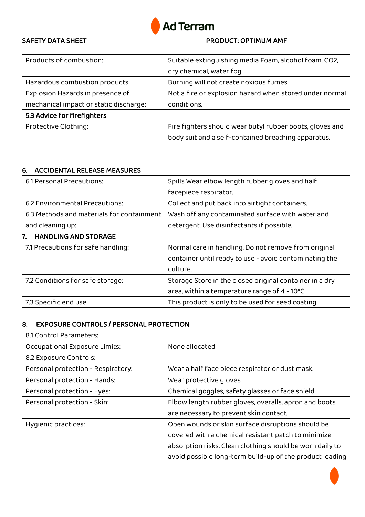

# SAFETY DATA SHEET **EXECUTE A SHEET PRODUCT: OPTIMUM AMF**

| Products of combustion:                | Suitable extinguishing media Foam, alcohol foam, CO2,    |
|----------------------------------------|----------------------------------------------------------|
|                                        | dry chemical, water fog.                                 |
| Hazardous combustion products          | Burning will not create noxious fumes.                   |
| Explosion Hazards in presence of       | Not a fire or explosion hazard when stored under normal  |
| mechanical impact or static discharge: | conditions.                                              |
| 5.3 Advice for firefighters            |                                                          |
| Protective Clothing:                   | Fire fighters should wear butyl rubber boots, gloves and |
|                                        | body suit and a self-contained breathing apparatus.      |

# 6. ACCIDENTAL RELEASE MEASURES

| 6.1 Personal Precautions:                 | Spills Wear elbow length rubber gloves and half         |  |
|-------------------------------------------|---------------------------------------------------------|--|
|                                           | facepiece respirator.                                   |  |
| 6.2 Environmental Precautions:            | Collect and put back into airtight containers.          |  |
| 6.3 Methods and materials for containment | Wash off any contaminated surface with water and        |  |
| and cleaning up:                          | detergent. Use disinfectants if possible.               |  |
| <b>HANDLING AND STORAGE</b><br>7.         |                                                         |  |
| 7.1 Precautions for safe handling:        | Normal care in handling. Do not remove from original    |  |
|                                           | container until ready to use - avoid contaminating the  |  |
|                                           | culture.                                                |  |
| 7.2 Conditions for safe storage:          | Storage Store in the closed original container in a dry |  |
|                                           | area, within a temperature range of 4 - 10°C.           |  |
| 7.3 Specific end use                      | This product is only to be used for seed coating        |  |

# 8. EXPOSURE CONTROLS / PERSONAL PROTECTION

| 8.1 Control Parameters:            |                                                          |
|------------------------------------|----------------------------------------------------------|
| Occupational Exposure Limits:      | None allocated                                           |
| 8.2 Exposure Controls:             |                                                          |
| Personal protection - Respiratory: | Wear a half face piece respirator or dust mask.          |
| Personal protection - Hands:       | Wear protective gloves                                   |
| Personal protection - Eyes:        | Chemical goggles, safety glasses or face shield.         |
| Personal protection - Skin:        | Elbow length rubber gloves, overalls, apron and boots    |
|                                    | are necessary to prevent skin contact.                   |
| Hygienic practices:                | Open wounds or skin surface disruptions should be        |
|                                    | covered with a chemical resistant patch to minimize      |
|                                    | absorption risks. Clean clothing should be worn daily to |
|                                    | avoid possible long-term build-up of the product leading |

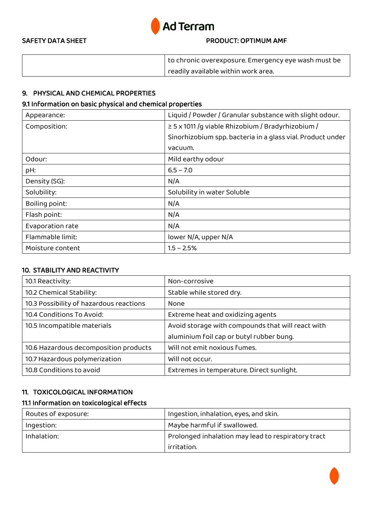

## SAFETY DATA SHEET **EXECUTE A PRODUCT: OPTIMUM AMF**

| to chronic overexposure. Emergency eye wash must be |
|-----------------------------------------------------|
| readily available within work area.                 |

# 9. PHYSICAL AND CHEMICAL PROPERTIES

### 9.1 Information on basic physical and chemical properties

| Appearance:      | Liquid / Powder / Granular substance with slight odour.    |
|------------------|------------------------------------------------------------|
| Composition:     | $\geq$ 5 x 1011 /q viable Rhizobium / Bradyrhizobium /     |
|                  | Sinorhizobium spp. bacteria in a glass vial. Product under |
|                  | vacuum.                                                    |
| Odour:           | Mild earthy odour                                          |
| pH:              | $6.5 - 7.0$                                                |
| Density (SG):    | N/A                                                        |
| Solubility:      | Solubility in water Soluble                                |
| Boiling point:   | N/A                                                        |
| Flash point:     | N/A                                                        |
| Evaporation rate | N/A                                                        |
| Flammable limit: | lower N/A, upper N/A                                       |
| Moisture content | $1.5 - 2.5%$                                               |

## 10. STABILITY AND REACTIVITY

| 10.1 Reactivity:                        | Non-corrosive                                     |
|-----------------------------------------|---------------------------------------------------|
| 10.2 Chemical Stability:                | Stable while stored dry.                          |
| 10.3 Possibility of hazardous reactions | None                                              |
| 10.4 Conditions To Avoid:               | Extreme heat and oxidizing agents                 |
| 10.5 Incompatible materials             | Avoid storage with compounds that will react with |
|                                         | aluminium foil cap or butyl rubber bung.          |
| 10.6 Hazardous decomposition products   | Will not emit noxious fumes.                      |
| 10.7 Hazardous polymerization           | Will not occur.                                   |
| 10.8 Conditions to avoid                | Extremes in temperature. Direct sunlight.         |

### 11. TOXICOLOGICAL INFORMATION

# 11.1 Information on toxicological effects

| Routes of exposure: | Ingestion, inhalation, eyes, and skin.             |
|---------------------|----------------------------------------------------|
| Ingestion:          | Maybe harmful if swallowed.                        |
| Inhalation:         | Prolonged inhalation may lead to respiratory tract |
|                     | irritation.                                        |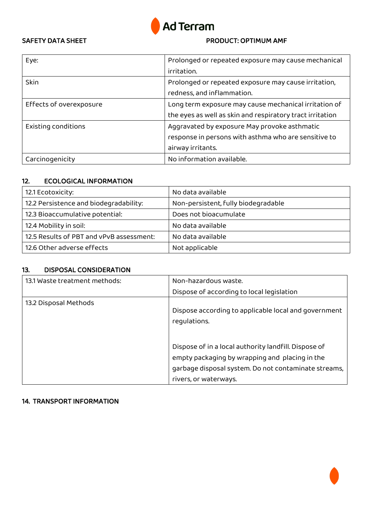

### SAFETY DATA SHEET **EXECUTE A SHEET PRODUCT: OPTIMUM AMF**

| Eye:                    | Prolonged or repeated exposure may cause mechanical       |
|-------------------------|-----------------------------------------------------------|
|                         | irritation.                                               |
| Skin                    | Prolonged or repeated exposure may cause irritation,      |
|                         | redness, and inflammation.                                |
| Effects of overexposure | Long term exposure may cause mechanical irritation of     |
|                         | the eyes as well as skin and respiratory tract irritation |
| Existing conditions     | Aggravated by exposure May provoke asthmatic              |
|                         | response in persons with asthma who are sensitive to      |
|                         | airway irritants.                                         |
| Carcinogenicity         | No information available.                                 |

# 12. ECOLOGICAL INFORMATION

| 12.1 Ecotoxicity:                        | No data available                   |
|------------------------------------------|-------------------------------------|
| 12.2 Persistence and biodegradability:   | Non-persistent, fully biodegradable |
| 12.3 Bioaccumulative potential:          | Does not bioacumulate               |
| 12.4 Mobility in soil:                   | No data available                   |
| 12.5 Results of PBT and vPvB assessment: | No data available                   |
| 12.6 Other adverse effects               | Not applicable                      |

### 13. DISPOSAL CONSIDERATION

| 13.1 Waste treatment methods: | Non-hazardous waste.                                                                                                                                                                    |
|-------------------------------|-----------------------------------------------------------------------------------------------------------------------------------------------------------------------------------------|
|                               | Dispose of according to local legislation                                                                                                                                               |
| 13.2 Disposal Methods         | Dispose according to applicable local and government<br>requlations.                                                                                                                    |
|                               | Dispose of in a local authority landfill. Dispose of<br>empty packaging by wrapping and placing in the<br>garbage disposal system. Do not contaminate streams,<br>rivers, or waterways. |

# 14. TRANSPORT INFORMATION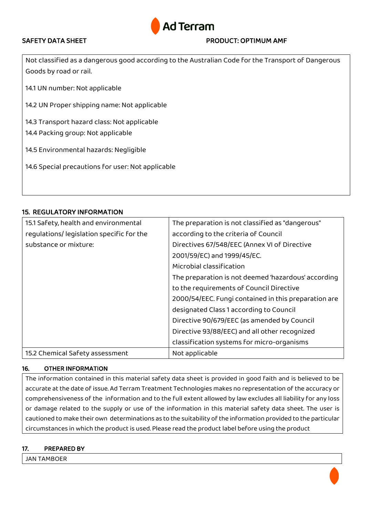

## SAFETY DATA SHEET **All the STATE STATE SET ASSAULTED AT A PRODUCT: OPTIMUM AMF**

Not classified as a dangerous good according to the Australian Code for the Transport of Dangerous Goods by road or rail.

14.1 UN number: Not applicable

14.2 UN Proper shipping name: Not applicable

14.3 Transport hazard class: Not applicable

14.4 Packing group: Not applicable

14.5 Environmental hazards: Negligible

14.6 Special precautions for user: Not applicable

## 15. REGULATORY INFORMATION

| 15.1 Safety, health and environmental    | The preparation is not classified as "dangerous"     |
|------------------------------------------|------------------------------------------------------|
| regulations/legislation specific for the | according to the criteria of Council                 |
| substance or mixture:                    | Directives 67/548/EEC (Annex VI of Directive         |
|                                          | 2001/59/EC) and 1999/45/EC.                          |
|                                          | Microbial classification                             |
|                                          | The preparation is not deemed 'hazardous' according  |
|                                          | to the requirements of Council Directive             |
|                                          | 2000/54/EEC. Fungi contained in this preparation are |
|                                          | designated Class 1 according to Council              |
|                                          | Directive 90/679/EEC (as amended by Council          |
|                                          | Directive 93/88/EEC) and all other recognized        |
|                                          | classification systems for micro-organisms           |
| 15.2 Chemical Safety assessment          | Not applicable                                       |

### 16. OTHER INFORMATION

The information contained in this material safety data sheet is provided in good faith and is believed to be accurate at the date of issue. Ad Terram Treatment Technologies makes no representation of the accuracy or comprehensiveness of the information and to the full extent allowed by law excludes all liability for any loss or damage related to the supply or use of the information in this material safety data sheet. The user is cautioned to make their own determinations as to the suitability of the information provided to the particular circumstances in which the product is used. Please read the product label before using the product

### 17. PREPARED BY

JAN TAMBOER